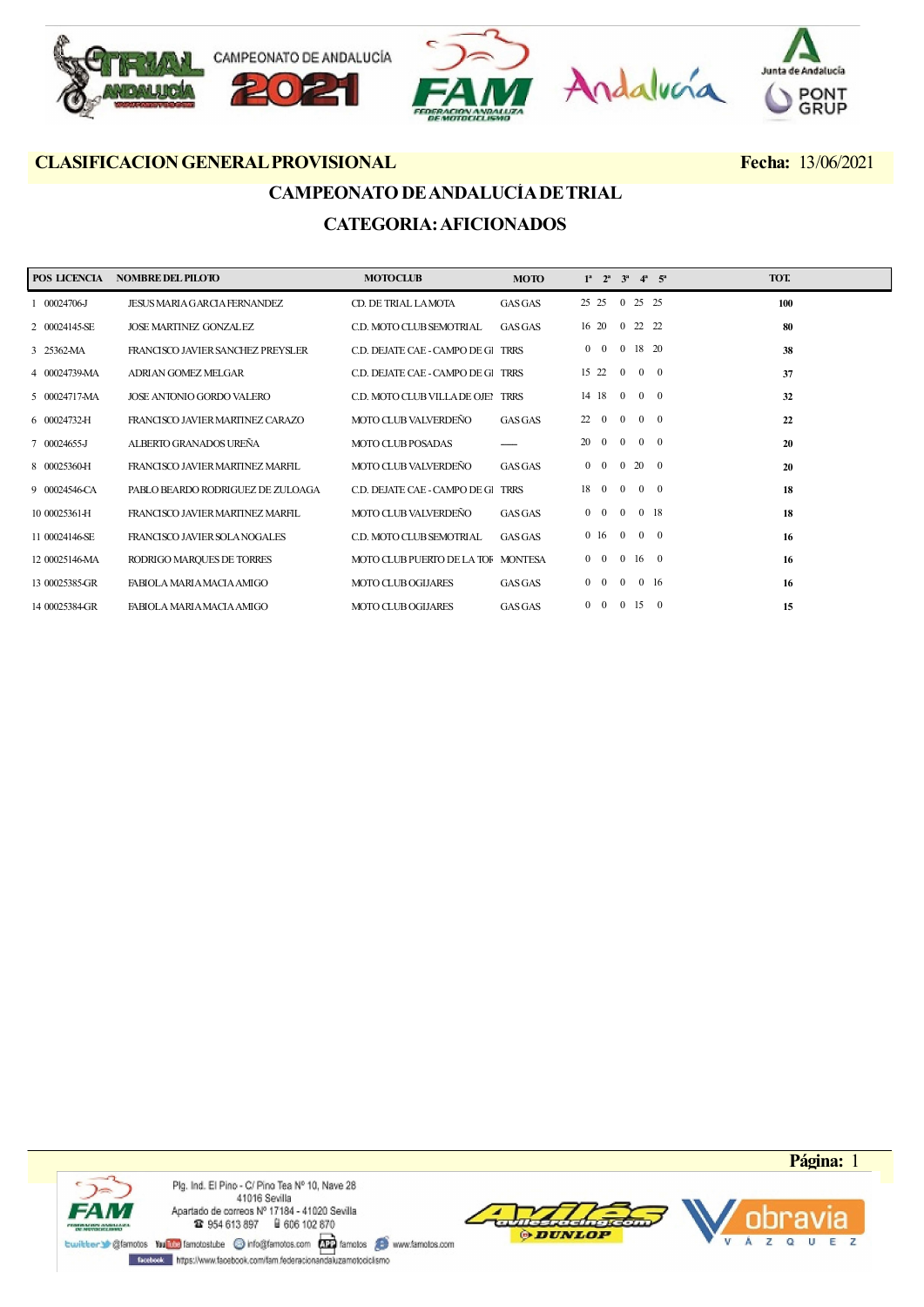

## CAMPEONATO DE ANDALUCÍA DE TRIAL CATEGORIA: AFICIONADOS

| POS LICENCIA   | <b>NOMBRE DEL PILOTO</b>            | <b>MOTOCLUB</b>                    | <b>MOTO</b>    |              | $1^a$ $2^a$    |                |              | $3^a$ $4^a$ $5^a$ | TOT. |
|----------------|-------------------------------------|------------------------------------|----------------|--------------|----------------|----------------|--------------|-------------------|------|
| 1 00024706-J   | <b>JESUS MARIA GARCIA FERNANDEZ</b> | CD. DE TRIAL LAMOTA                | <b>GAS GAS</b> |              | 25 25          |                | 0 25 25      |                   | 100  |
| 2 00024145-SE  | <b>JOSE MARTINEZ GONZALEZ</b>       | C.D. MOTO CLUB SEMOTRIAL           | <b>GAS GAS</b> |              | 16 20          | $\overline{0}$ | 22 22        |                   | 80   |
| 3 25362-MA     | FRANCISCO JAVIER SANCHEZ PREYSLER   | C.D. DEJATE CAE - CAMPO DE GI TRRS |                |              | $0\quad 0$     | $\overline{0}$ | 18 20        |                   | 38   |
| 4 00024739-MA  | ADRIAN GOMEZ MELGAR                 | C.D. DEJATE CAE - CAMPO DE GI TRRS |                |              | 15 22          | $\Omega$       |              | $0 \quad 0$       | 37   |
| 5 00024717-MA  | JOSE ANTONIO GORDO VALERO           | C.D. MOTO CLUB VILLA DE OJEN       | <b>TRRS</b>    |              | 14 18 0 0 0    |                |              |                   | 32   |
| 6 00024732-H   | FRANCISCO JAVIER MARTINEZ CARAZO    | MOTO CLUB VALVERDEÑO               | <b>GAS GAS</b> | 22           | $\overline{0}$ | $\overline{0}$ |              | $0 \quad 0$       | 22   |
| 7 00024655-J   | ALBERTO GRANADOS UREÑA              | <b>MOTO CLUB POSADAS</b>           |                | 20           | $\overline{0}$ | $\mathbf{0}$   | $0\quad 0$   |                   | 20   |
| 8 00025360-H   | FRANCISCO JAVIER MARTINEZ MARFIL    | MOTO CLUB VALVERDEÑO               | <b>GAS GAS</b> | $\mathbf{0}$ | $\overline{0}$ | $\mathbf{0}$   | 20 0         |                   | 20   |
| 9 00024546-CA  | PABLO BEARDO RODRIGUEZ DE ZULOAGA   | C.D. DEJATE CAE - CAMPO DE GI      | <b>TRRS</b>    |              | 18 0           | $\overline{0}$ |              | $0 \quad 0$       | 18   |
| 10 00025361-H  | FRANCISCO JAVIER MARTINEZ MARFIL    | MOTO CLUB VALVERDEÑO               | GASGAS         |              | $0\quad 0$     | $\mathbf{0}$   |              | 0 18              | 18   |
| 11 00024146-SE | FRANCISCO JAVIER SOLA NOGALES       | C.D. MOTO CLUB SEMOTRIAL           | GASGAS         |              | 016            | $\overline{0}$ |              | $0 \quad 0$       | 16   |
| 12 00025146-MA | RODRIGO MARQUES DE TORRES           | MOTO CLUB PUERTO DE LA TOF MONTESA |                |              | $0\quad 0$     | $\overline{0}$ | $16 \quad 0$ |                   | 16   |
| 13 00025385-GR | FABIOLA MARIA MACIA AMIGO           | <b>MOTO CLUB OGIJARES</b>          | <b>GAS GAS</b> |              | $0\quad 0$     | $\overline{0}$ |              | $0\quad16$        | 16   |
| 14 00025384-GR | FABIOLA MARIA MACIA AMIGO           | <b>MOTO CLUB OGIJARES</b>          | <b>GAS GAS</b> |              | $0\quad 0$     | $\overline{0}$ | 15           | $\overline{0}$    | 15   |





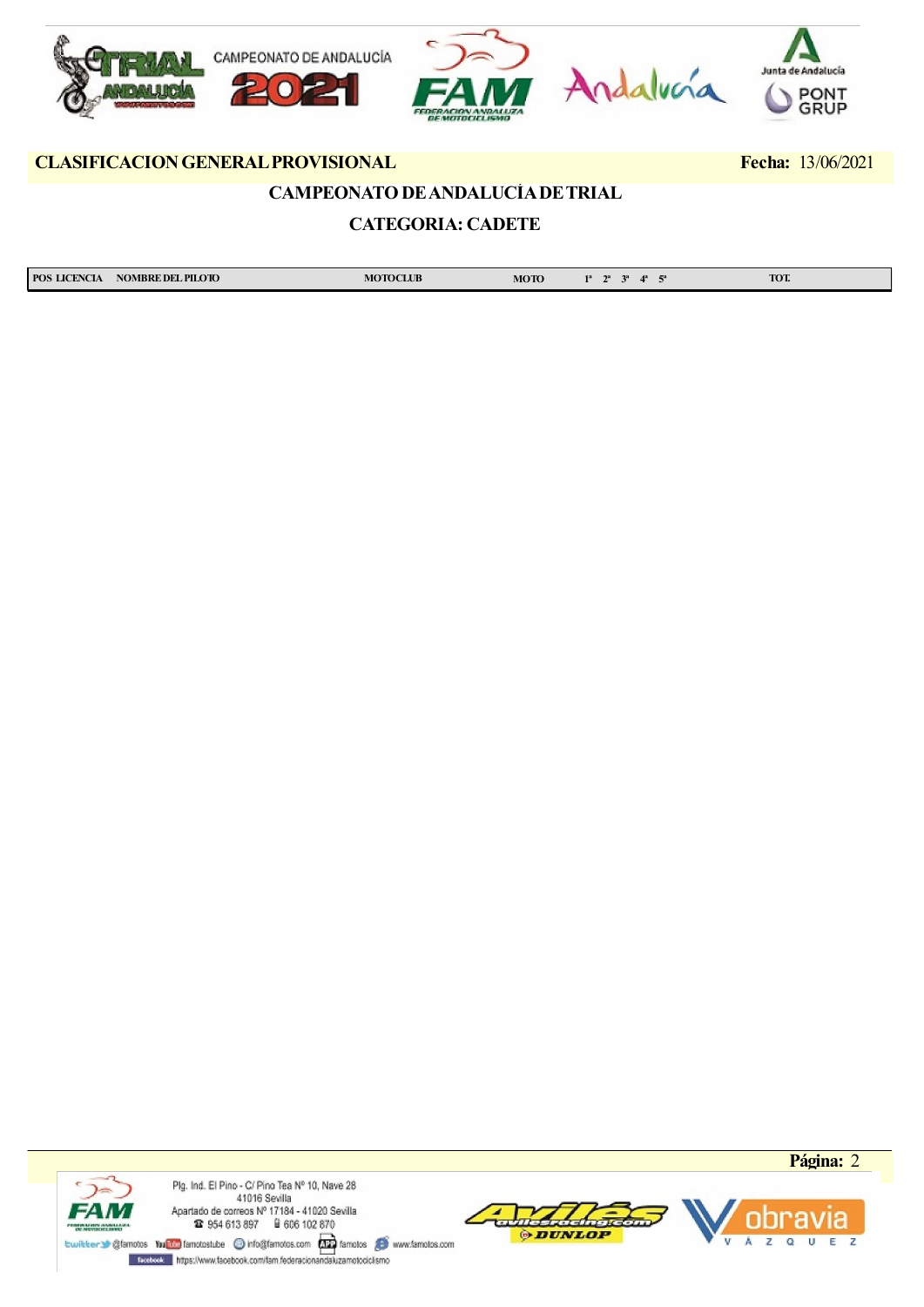

## CAMPEONATO DE ANDALUCÍA DE TRIAL

## CATEGORIA: CADETE

| <b>POS</b><br><b>S LICENCIA</b> | <b>NOMBRE DEL PILOTO</b><br>$-$ 0.000 $-$ 0.000 $-$ 0.000 $-$ 0.000 $-$ 0.000 $-$ | TOCLUB<br>. | мото<br>____ | <b>TOT.</b> |
|---------------------------------|-----------------------------------------------------------------------------------|-------------|--------------|-------------|





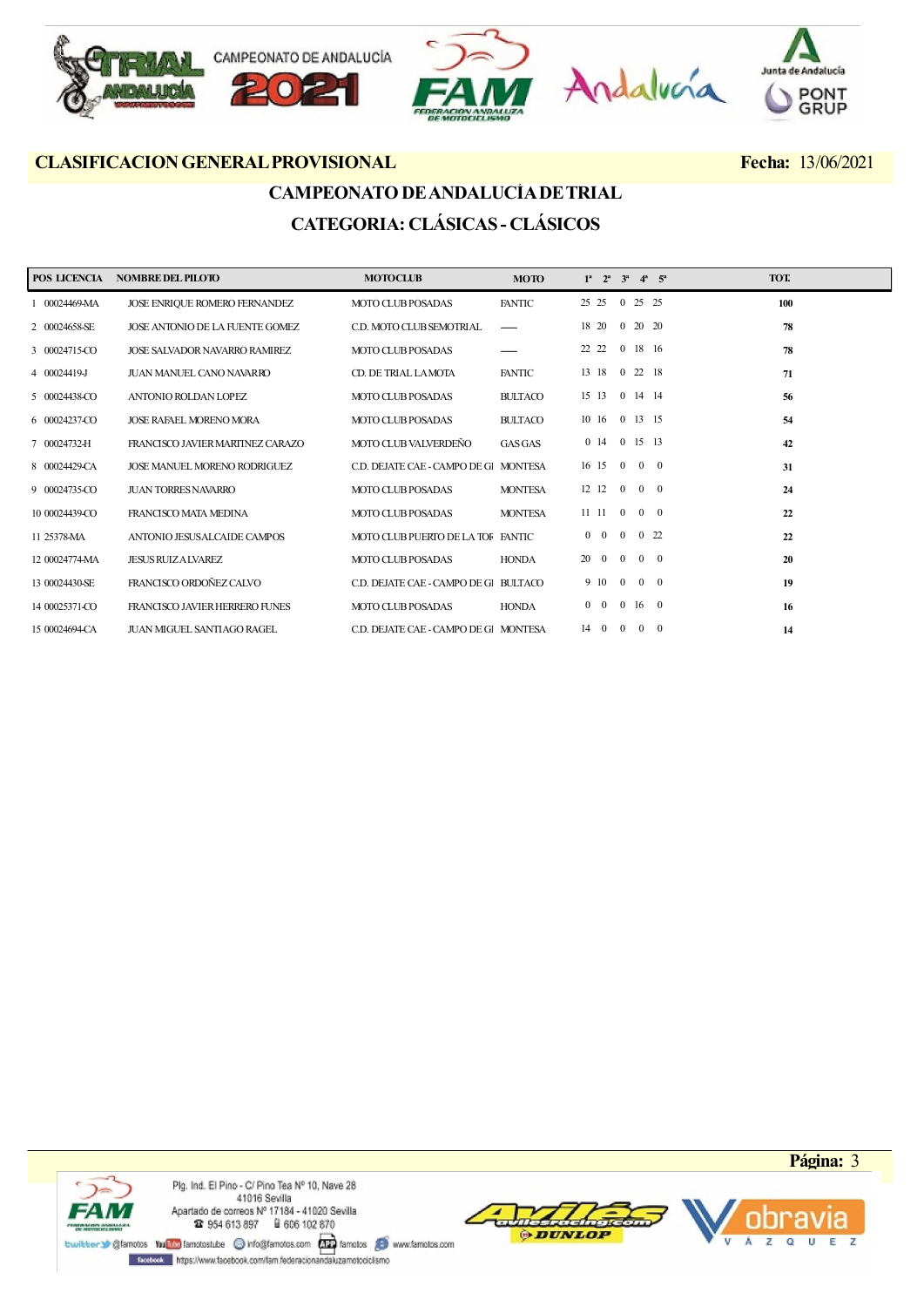

# CAMPEONATO DE ANDALUCÍA DE TRIAL CATEGORIA: CLÁSICAS - CLÁSICOS

| POS LICENCIA   | <b>NOMBRE DEL PILOTO</b>             | <b>MOTOCLUB</b>                       | <b>MOTO</b>    | $1^a$ $2^a$ $3^a$ |                     | $4^a$ $5^a$ |                | TOT. |  |
|----------------|--------------------------------------|---------------------------------------|----------------|-------------------|---------------------|-------------|----------------|------|--|
| 1 00024469-MA  | JOSE ENRIQUE ROMERO FERNANDEZ        | <b>MOTO CLUB POSADAS</b>              | <b>FANTIC</b>  | 25 25 0 25 25     |                     |             |                | 100  |  |
| 2 00024658-SE  | JOSE ANTONIO DE LA FUENTE GOMEZ      | C.D. MOTO CLUB SEMOTRIAL              |                | 18 20             | $0\quad 20\quad 20$ |             |                | 78   |  |
| 3 00024715-CO  | <b>JOSE SALVADOR NAVARRO RAMIREZ</b> | <b>MOTO CLUB POSADAS</b>              |                | 22 22             | $\overline{0}$      | 18 16       |                | 78   |  |
| 4 00024419-J   | <b>JUAN MANUEL CANO NAVARRO</b>      | CD. DE TRIAL LAMOTA                   | <b>FANTIC</b>  | 13 18 0 22 18     |                     |             |                | 71   |  |
| 5 00024438-CO  | ANTONIO ROLDAN LOPEZ                 | <b>MOTO CLUB POSADAS</b>              | <b>BULTACO</b> | 15 13             | $0 \t14 \t14$       |             |                | 56   |  |
| 6 00024237-CO  | <b>JOSE RAFAEL MORENO MORA</b>       | <b>MOTO CLUB POSADAS</b>              | <b>BULTACO</b> | 10 16             | $\overline{0}$      | 13 15       |                | 54   |  |
| 7 00024732-H   | FRANCISCO JAVIER MARTINEZ CARAZO     | MOTO CLUB VALVERDEÑO                  | <b>GAS GAS</b> | $0 \t14$          | 0 15 13             |             |                | 42   |  |
| 8 00024429-CA  | <b>JOSE MANUEL MORENO RODRIGUEZ</b>  | C.D. DEJATE CAE - CAMPO DE GI MONTESA |                | 16 15 0 0 0       |                     |             |                | 31   |  |
| 9 00024735-CO  | <b>JUAN TORRES NAVARRO</b>           | <b>MOTO CLUB POSADAS</b>              | <b>MONTESA</b> | 12 12             | $\overline{0}$      | $0 \quad 0$ |                | 24   |  |
| 10 00024439-CO | FRANCISCO MATA MEDINA                | <b>MOTO CLUB POSADAS</b>              | <b>MONTESA</b> | $11 \t11 \t0$     |                     | $0 \quad 0$ |                | 22   |  |
| 11 25378-MA    | ANTONIO JESUSALCAIDE CAMPOS          | MOTO CLUB PUERTO DE LA TOF FANTIC     |                | $0\quad 0$        | $0 \t 0 \t 22$      |             |                | 22   |  |
| 12 00024774-MA | <b>JESUS RUIZ A LVAREZ</b>           | <b>MOTO CLUB POSADAS</b>              | <b>HONDA</b>   | 20 0              | $\overline{0}$      | $0 \quad 0$ |                | 20   |  |
| 13 00024430-SE | FRANCISCO ORDOÑEZ CALVO              | C.D. DEJATE CAE - CAMPO DE Gl BULTACO |                | 9 10              | $\overline{0}$      | $0 \quad 0$ |                | 19   |  |
| 14 00025371-CO | FRANCISCO JAVIER HERRERO FUNES       | <b>MOTO CLUB POSADAS</b>              | <b>HONDA</b>   | $0\quad 0$        | $0\quad 16\quad 0$  |             |                | 16   |  |
| 15 00024694-CA | <b>JUAN MIGUEL SANTIAGO RAGEL</b>    | C.D. DEJATE CAE - CAMPO DE GI MONTESA |                | 14 0              | $\Omega$            | $\theta$    | $\overline{0}$ | 14   |  |



Plg. Ind. El Pino - C/ Pino Tea Nº 10, Nave 28 41016 Sevilla Apartado de correos № 17184 - 41020 Sevilla<br>
12 954 613 897 - 18 606 102 870

meterdedoria **ODUNLOP** 



Freebook https://www.facebook.com/fam.federacionandaluzamotociclismo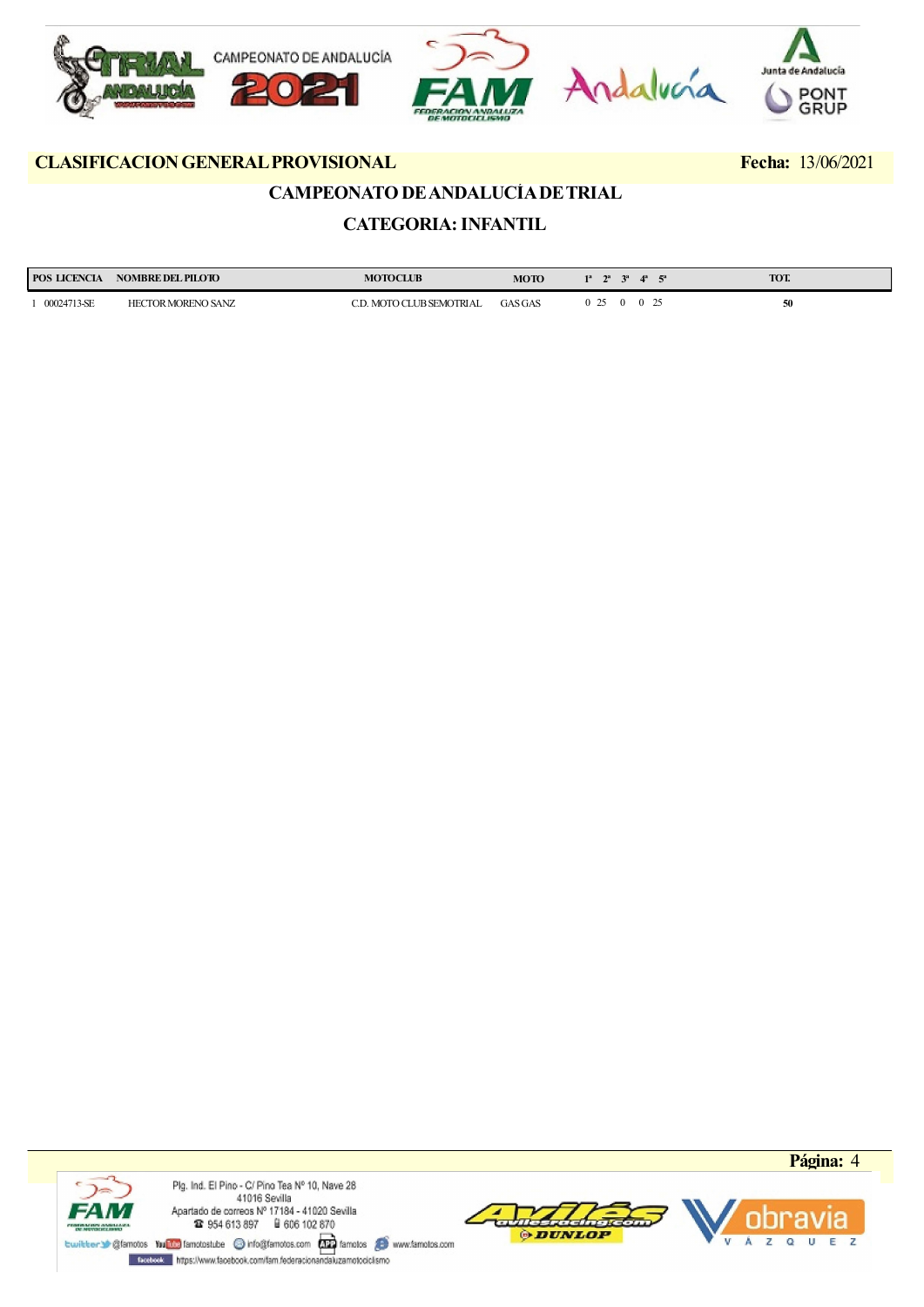

## CAMPEONATO DE ANDALUCÍA DE TRIAL

## CATEGORIA: INFANTIL

| <b>POS LICENCIA</b> | <b>NOMBRE DEL PILOTO</b>  | <b>MOTOCLUB</b>                | <b>MOTO</b>    | 13<br>$\mathbf{A}^{\mathbf{a}}$ | TOT. |
|---------------------|---------------------------|--------------------------------|----------------|---------------------------------|------|
| 00024713-SE         | <b>HECTOR MORENO SANZ</b> | <b>UB SEMOTRIAL</b><br>MOTO CI | <b>GAS GAS</b> | $\Delta$                        | 50   |





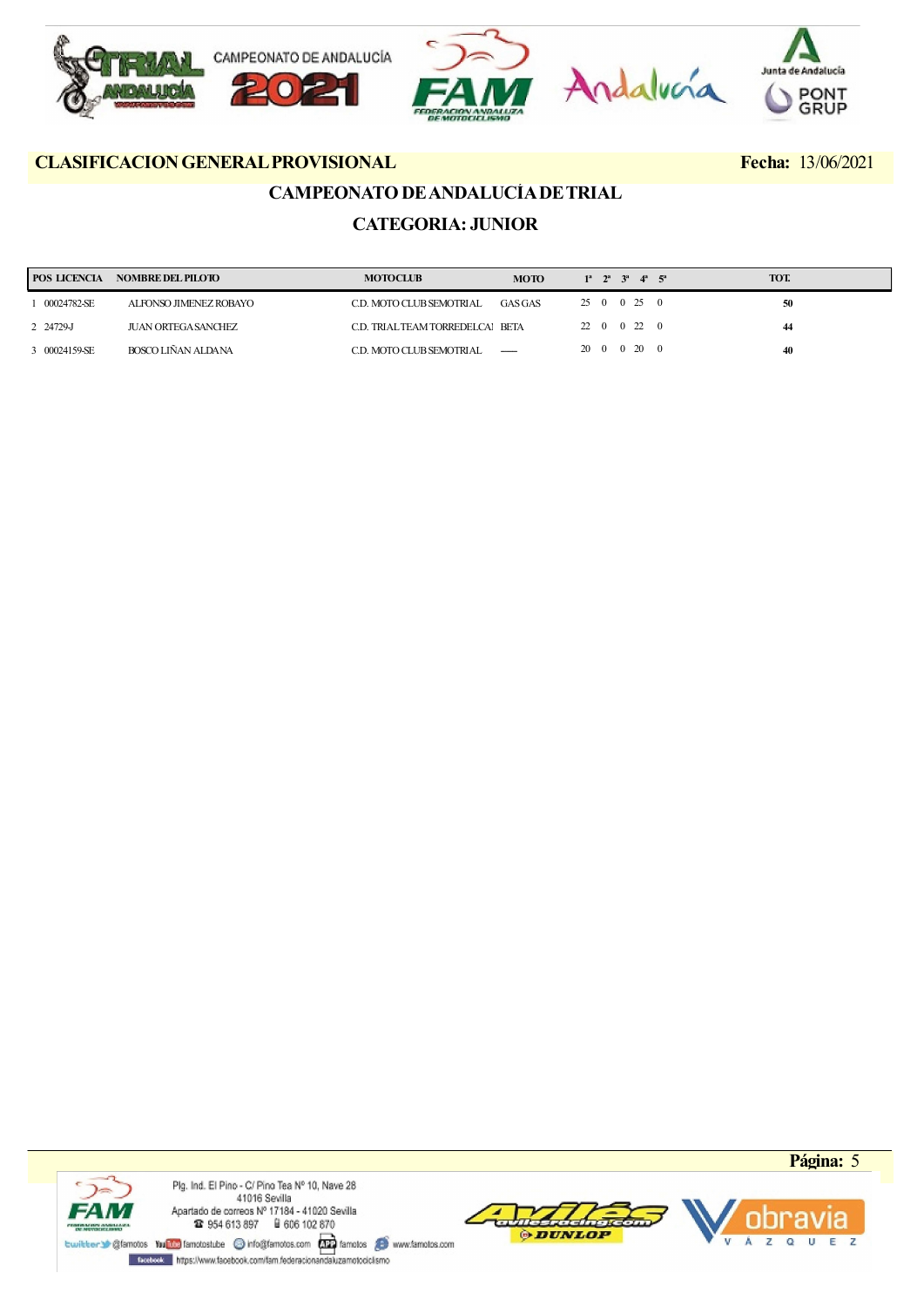

## CAMPEONATO DE ANDALUCÍA DE TRIAL

## CATEGORIA: JUNIOR

| <b>POS LICENCIA</b> | <b>NOMBRE DEL PILOTO</b> | <b>MOTOCLUB</b>                  | <b>MOTO</b> | $1^a$ $2^a$ $3^a$ $4^a$ $5^a$ | <b>TOT.</b> |
|---------------------|--------------------------|----------------------------------|-------------|-------------------------------|-------------|
| 00024782-SE         | ALFONSO JIMENEZ ROBAYO   | C.D. MOTO CLUB SEMOTRIAL         | GASGAS      | 25 0 0 25 0                   | 50          |
| 2 24729-J           | JUAN ORTEGA SANCHEZ      | C.D. TRIAL TEAM TORREDELCAI BETA |             | 22 0 0 22 0                   | 44          |
| 3 00024159-SE       | BOSCO LIÑAN ALDANA       | C.D. MOTO CLUB SEMOTRIAL         |             | 20 0 0 20 0                   | 40          |





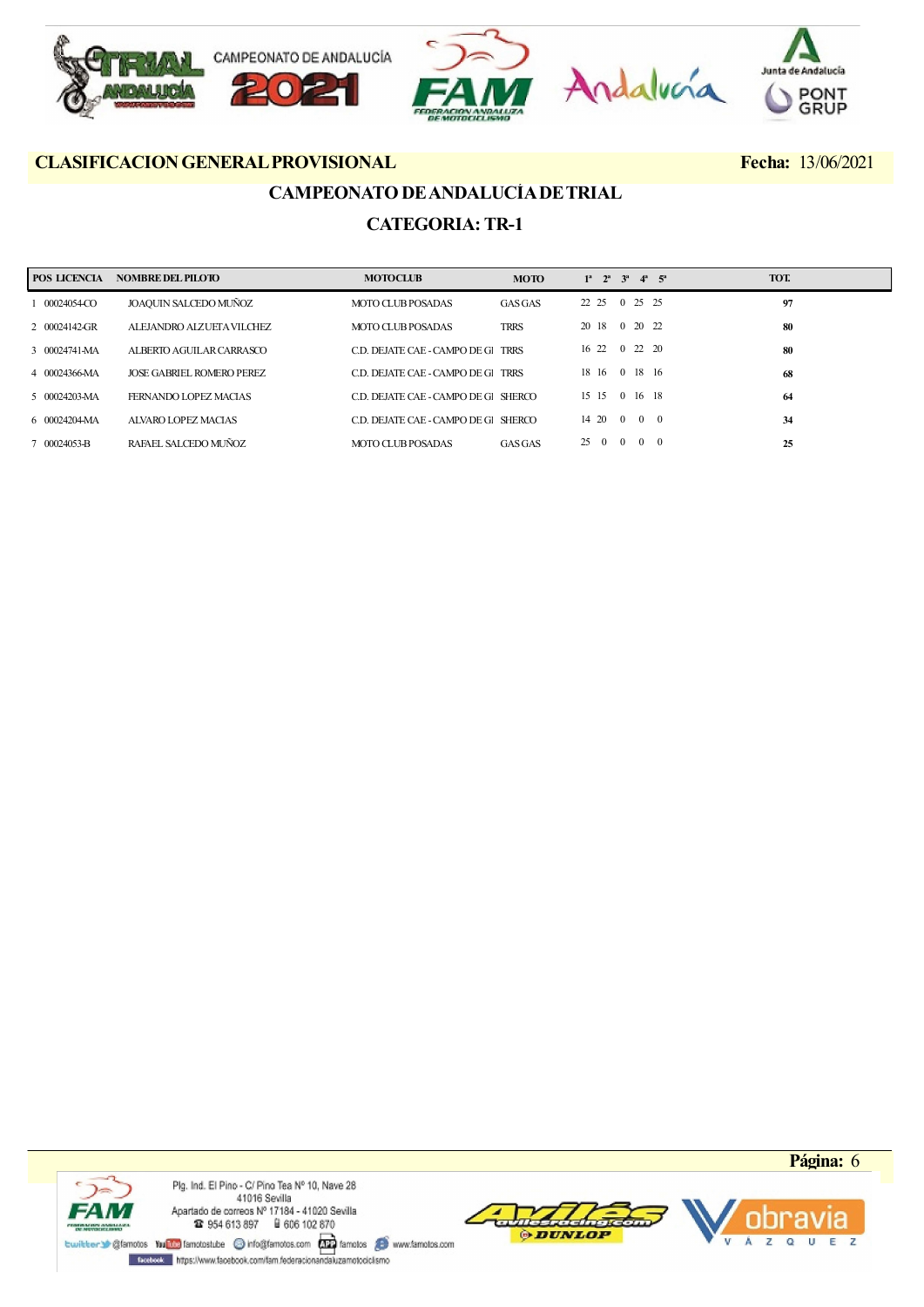

## CAMPEONATO DE ANDALUCÍA DE TRIAL CATEGORIA: TR-1

| POS LICENCIA  | NOMBRE DEL PILOTO         | <b>MOTOCLUB</b>                      | <b>MOTO</b>    | $1^a$ $2^a$ $3^a$ $4^a$ $5^a$                            | TOT. |
|---------------|---------------------------|--------------------------------------|----------------|----------------------------------------------------------|------|
| 00024054-CO   | JOAQUIN SALCEDO MUÑOZ     | MOTO CLUB POSADAS                    | <b>GAS GAS</b> | 0 25 25<br>22 25                                         | 97   |
| 2 00024142-GR | ALEJANDRO ALZUETA VILCHEZ | MOTO CLUB POSADAS                    | <b>TRRS</b>    | 0 20 22<br>20 18                                         | 80   |
| 3 00024741-MA | ALBERTO AGUILAR CARRASCO  | C.D. DEJATE CAE - CAMPO DE GL        | <b>TRRS</b>    | 16 22 0 22 20                                            | 80   |
| 4 00024366-MA | JOSE GABRIEL ROMERO PEREZ | C.D. DEJATE CAE - CAMPO DE GL TRRS   |                | 18 16 0 18 16                                            | 68   |
| 5 00024203-MA | FERNANDO LOPEZ MACIAS     | C.D. DEJATE CAE - CAMPO DE GI SHERCO |                | 0 16 18<br>15 15                                         | 64   |
| 6 00024204-MA | ALVARO LOPEZ MACIAS       | C.D. DEJATE CAE - CAMPO DE GL SHERCO |                | 14 20 0 0 0                                              | 34   |
| 7 00024053-B  | RAFAEL SALCEDO MUÑOZ      | MOTO CLUB POSADAS                    | <b>GASGAS</b>  | $\theta$<br>$\overline{0}$<br>$\Omega$<br>25<br>$\Omega$ | 25   |





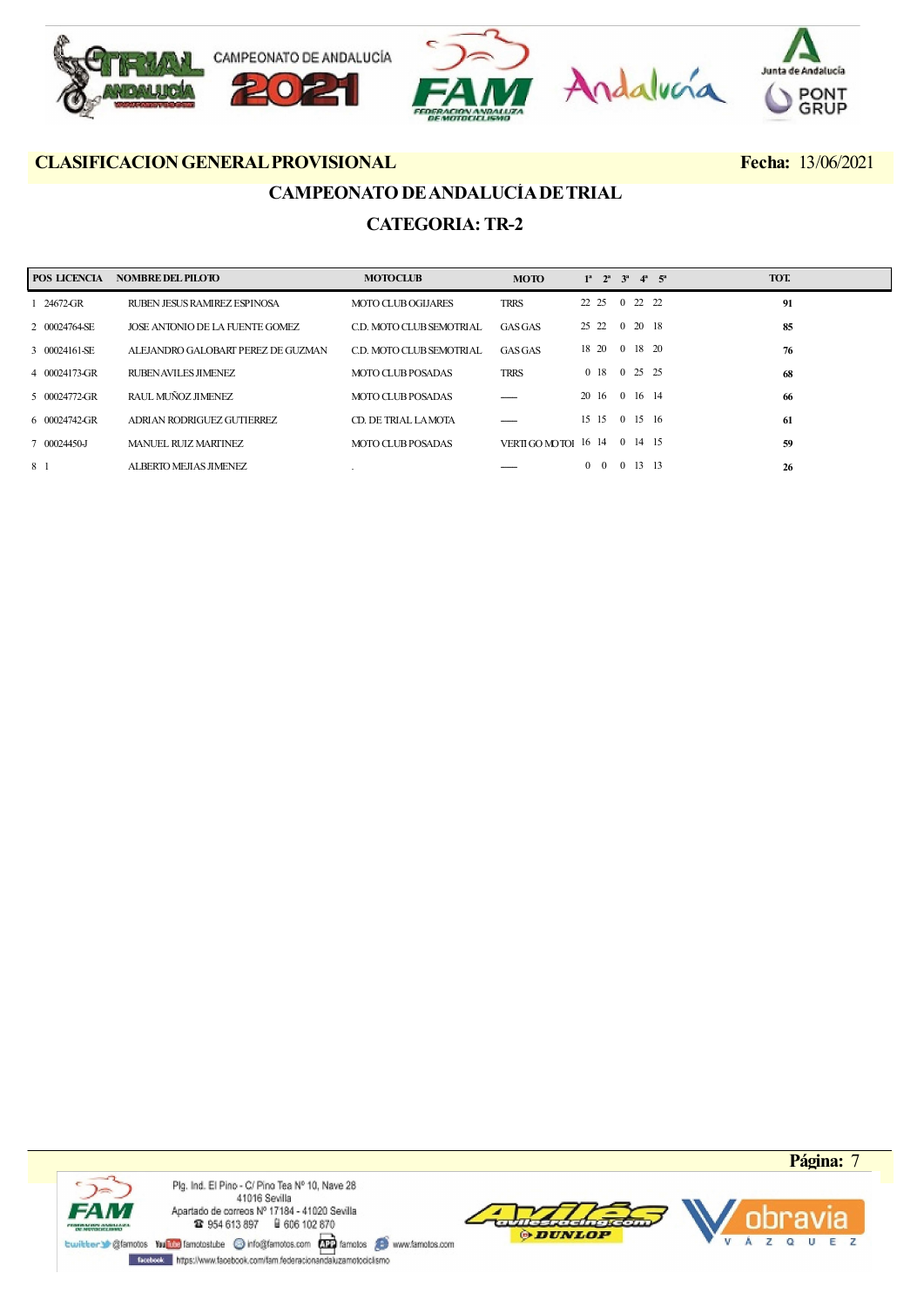

## CAMPEONATO DE ANDALUCÍA DE TRIAL CATEGORIA: TR-2

| POS LICENCIA          | <b>NOMBRE DEL PILOTO</b>           | <b>MOTOCLUB</b>           | <b>MOTO</b>                           | $1^a$ $2^a$ $3^a$ $4^a$ $5^a$ |                |         |         | TOT. |
|-----------------------|------------------------------------|---------------------------|---------------------------------------|-------------------------------|----------------|---------|---------|------|
| 24672-GR              | RUBEN JESUS RAMIREZ ESPINOSA       | <b>MOTO CLUB OGIJARES</b> | <b>TRRS</b>                           | 22 25 0 22 22                 |                |         |         | 91   |
| 2 00024764-SE         | JOSE ANTONIO DE LA FUENTE GOMEZ    | C.D. MOTO CLUB SEMOTRIAL  | GASGAS                                | 25 22                         |                |         | 0 20 18 | 85   |
| 3 00024161-SE         | ALEJANDRO GALOBART PEREZ DE GUZMAN | C.D. MOTO CLUB SEMOTRIAL  | <b>GAS GAS</b>                        | 18 20                         | $\overline{0}$ |         | 18 20   | 76   |
| 4 00024173-GR         | RUBEN AVILES JIMENEZ               | MOTO CLUB POSADAS         | <b>TRRS</b>                           | 0 <sup>18</sup>               |                | 0 25 25 |         | 68   |
| 5 00024772-GR         | RAUL MUÑOZ JIMENEZ                 | MOTO CLUB POSADAS         |                                       | 20 16                         |                | 0 16 14 |         | 66   |
| $60024742 \text{-}GR$ | ADRIAN RODRIGUEZ GUTIERREZ         | CD. DE TRIAL LA MOTA      |                                       | 15 15 0 15 16                 |                |         |         | 61   |
| 7 00024450-J          | MANUEL RUIZ MARTINEZ               | MOTO CLUB POSADAS         | VERTIGO MOTOR $16 \t14 \t0 \t14 \t15$ |                               |                |         |         | 59   |
| 8 1                   | ALBERTO MEJIAS JIMENEZ             |                           |                                       | $0\quad 0$                    |                | 0 13 13 |         | 26   |





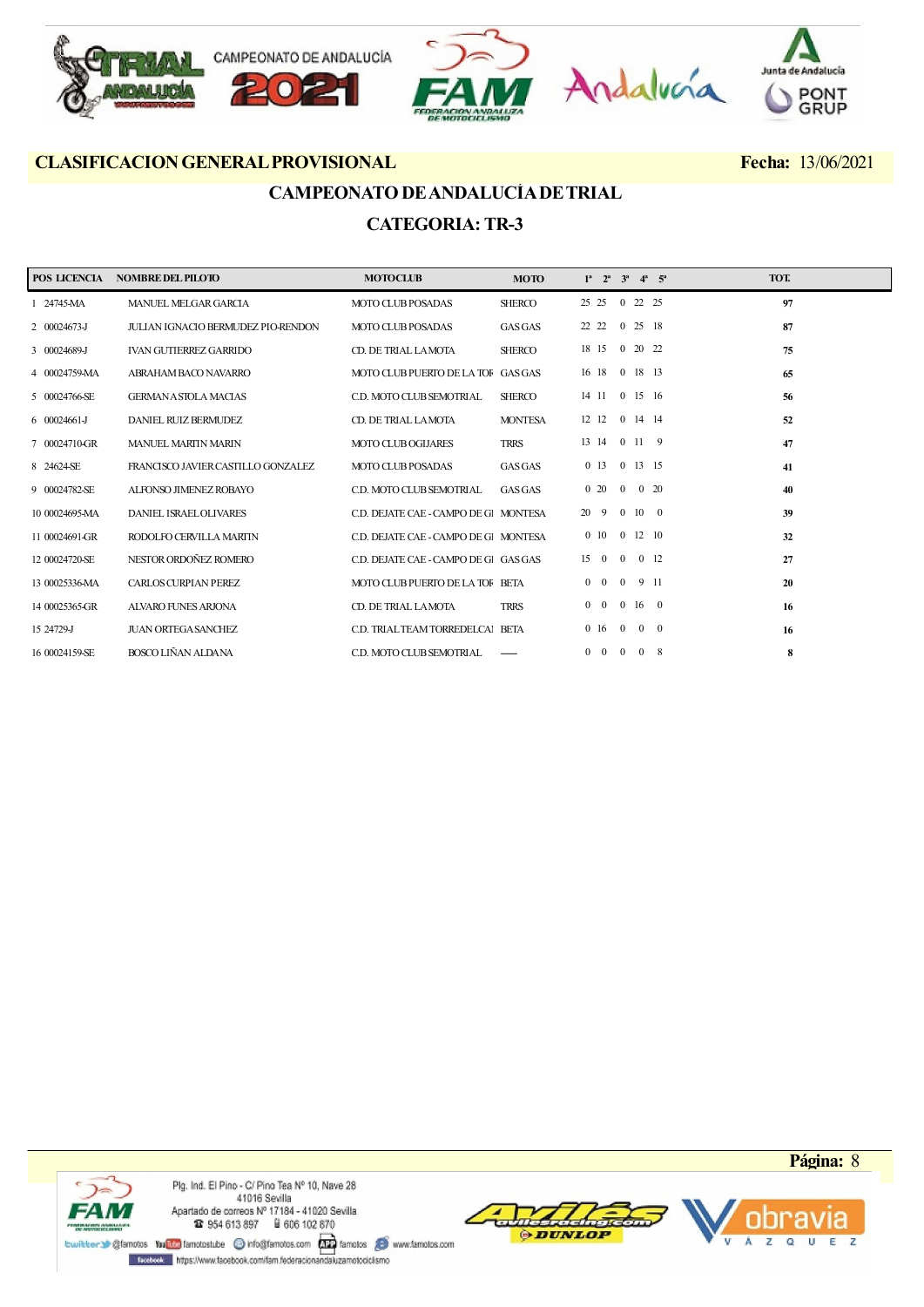

## CAMPEONATO DE ANDALUCÍA DE TRIAL CATEGORIA: TR-3

| POS LICENCIA   | <b>NOMBRE DEL PILOTO</b>           | <b>MOTOCLUB</b>                       | <b>MOTO</b>    | $1^a$ $2^a$ $3^a$ $4^a$ $5^a$ |                |                     | TOT. |
|----------------|------------------------------------|---------------------------------------|----------------|-------------------------------|----------------|---------------------|------|
| 1 24745-MA     | MANUEL MELGAR GARCIA               | <b>MOTO CLUB POSADAS</b>              | <b>SHERCO</b>  | 25 25                         |                | 0 22 25             | 97   |
| 2 00024673-J   | JULIAN IGNACIO BERMUDEZ PIO-RENDON | MOTO CLUB POSADAS                     | <b>GAS GAS</b> | 22 22 0 25 18                 |                |                     | 87   |
| 3 00024689-J   | <b>IVAN GUTIERREZ GARRIDO</b>      | CD. DE TRIAL LAMOTA                   | <b>SHERCO</b>  | 18 15                         |                | 0 20 22             | 75   |
| 4 00024759-MA  | ABRAHAM BACO NAVARRO               | MOTO CLUB PUERTO DE LA TOF GAS GAS    |                | 16 18 0 18 13                 |                |                     | 65   |
| 5 00024766-SE  | <b>GERMAN A STOLA MACIAS</b>       | C.D. MOTO CLUB SEMOTRIAL              | <b>SHERCO</b>  | 14 11                         |                | $0\quad 15\quad 16$ | 56   |
| 6 00024661-J   | DANIEL RUIZ BERMUDEZ               | CD. DE TRIAL LAMOTA                   | <b>MONTESA</b> | 12 12                         | $\overline{0}$ | 14 14               | 52   |
| 7 00024710-GR  | <b>MANUEL MARIIN MARIN</b>         | <b>MOTO CLUB OGIJARES</b>             | <b>TRRS</b>    | 13 14 0 11 9                  |                |                     | 47   |
| 8 24624-SE     | FRANCISCO JAVIER CASTILLO GONZALEZ | <b>MOTO CLUB POSADAS</b>              | <b>GAS GAS</b> | 0 13 0 13 15                  |                |                     | 41   |
| 9 00024782-SE  | ALFONSO JIMENEZ ROBAYO             | C.D. MOTO CLUB SEMOTRIAL              | <b>GAS GAS</b> | $0\quad20$                    | $\overline{0}$ | $0\quad20$          | 40   |
| 10 00024695-MA | <b>DANIEL ISRAELOLIVARES</b>       | C.D. DEJATE CAE - CAMPO DE GI MONTESA |                | 20 9                          |                | $0\quad 10\quad 0$  | 39   |
| 11 00024691-GR | RODOLFO CERVILLA MARTIN            | C.D. DEJATE CAE - CAMPO DE GI MONTESA |                | $0\quad10$                    |                | $0 \t12 \t10$       | 32   |
| 12 00024720-SE | NESTOR ORDOÑEZ ROMERO              | C.D. DEJATE CAE - CAMPO DE Gl GAS GAS |                | $15 \quad 0$                  | $\bf{0}$       | $0 \t12$            | 27   |
| 13 00025336-MA | <b>CARLOS CURPIAN PEREZ</b>        | MOTO CLUB PUERTO DE LA TOF BETA       |                | $0\quad 0$                    | $\overline{0}$ | 9 11                | 20   |
| 14 00025365-GR | <b>ALVARO FUNES ARJONA</b>         | CD. DE TRIAL LAMOTA                   | <b>TRRS</b>    | $0 \t0 \t0 \t16 \t0$          |                |                     | 16   |
| 15 24729-J     | <b>JUAN ORTEGA SANCHEZ</b>         | C.D. TRIAL TEAM TORREDELCAI BETA      |                | $0 \t16 \t0$                  |                | $0 \quad 0$         | 16   |
| 16 00024159-SE | BOSCO LIÑAN ALDANA                 | C.D. MOTO CLUB SEMOTRIAL              |                | $0\quad 0$                    | $\mathbf{0}$   | $0 \times 8$        | 8    |



Plg. Ind. El Pino - C/ Pino Tea Nº 10, Nave 28 41016 Sevilla Apartado de correos № 17184 - 41020 Sevilla<br>
12 954 613 897 - 18 606 102 870

meterdedrian **ODUNLOP** 

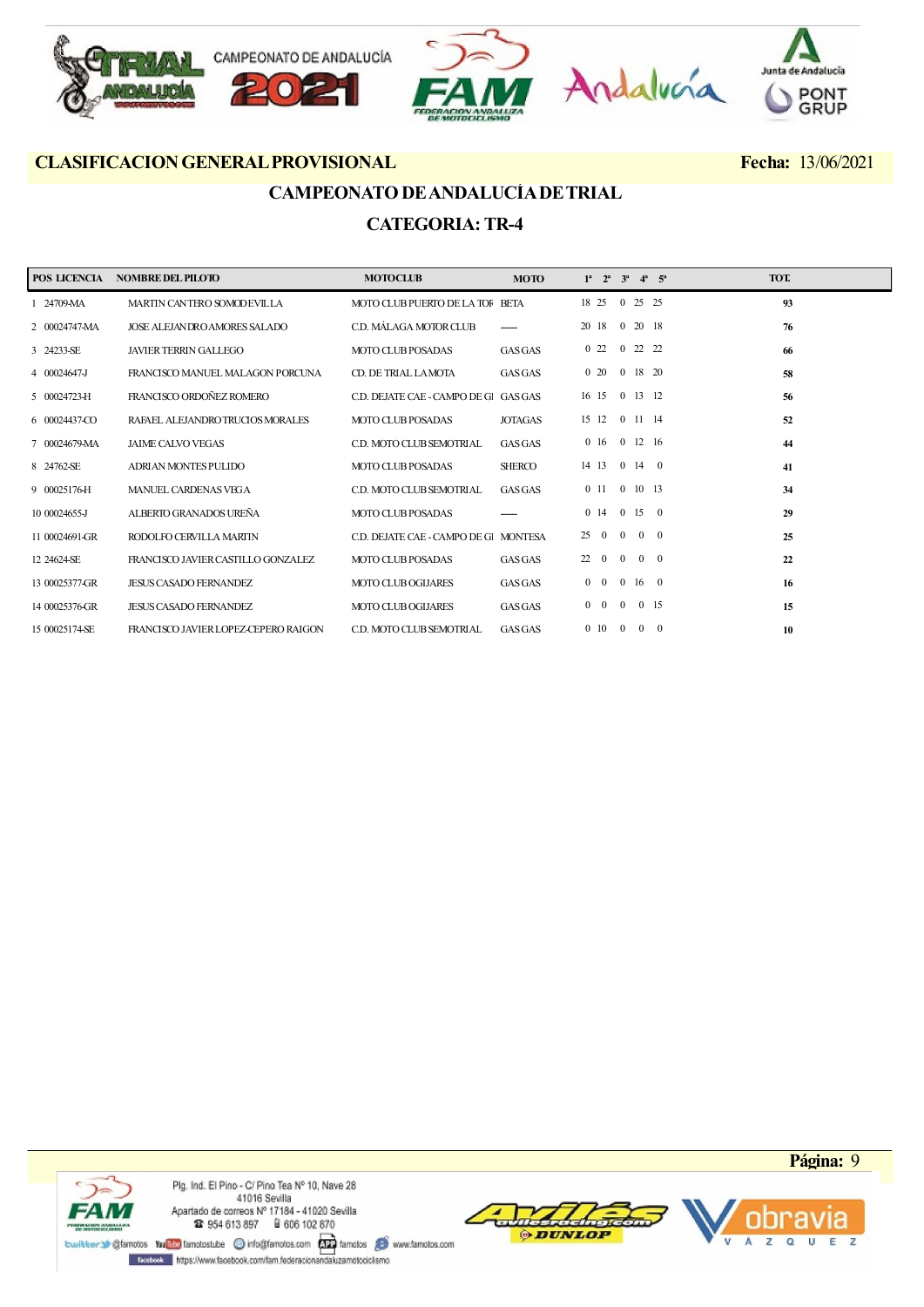

## CAMPEONATO DE ANDALUCÍA DE TRIAL CATEGORIA: TR-4

| POS LICENCIA   | <b>NOMBRE DEL PILOTO</b>             | <b>MOTOCLUB</b>                       | <b>MOTO</b>    | $1^a$ $2^a$              | $3^a$          |                    | $4^a$ $5^a$    | TOT. |
|----------------|--------------------------------------|---------------------------------------|----------------|--------------------------|----------------|--------------------|----------------|------|
| 1 24709-MA     | MARTIN CANTERO SOMODEVILLA           | MOTO CLUB PUERTO DE LA TOF BETA       |                | 18 25                    |                | 0 25 25            |                | 93   |
| 2 00024747-MA  | JOSE ALEJANDRO AMORES SALADO         | C.D. MÁLAGA MOTOR CLUB                |                | 20 18                    |                | 0 20 18            |                | 76   |
| 3 24233-SE     | <b>JAVIER TERRIN GALLEGO</b>         | <b>MOTO CLUB POSADAS</b>              | <b>GAS GAS</b> | 022                      | $\Omega$       |                    | 22 22          | 66   |
| 4 00024647-J   | FRANCISCO MANUEL MALAGON PORCUNA     | CD. DE TRIAL LAMOTA                   | <b>GAS GAS</b> | $0\quad20$               |                | 0 18 20            |                | 58   |
| 5 00024723-H   | FRANCISCO ORDOÑEZ ROMERO             | C.D. DEJATE CAE - CAMPO DE Gl GAS GAS |                | 16 15                    | $\overline{0}$ | 13 12              |                | 56   |
| 6 00024437-CO  | RAFAEL ALEJANDROTRUCIOS MORALES      | <b>MOTO CLUB POSADAS</b>              | <b>JOTAGAS</b> | 15 12                    |                | 0 11 14            |                | 52   |
| 7 00024679-MA  | <b>JAIME CALVO VEGAS</b>             | C.D. MOTO CLUB SEMOTRIAL              | <b>GAS GAS</b> | 016                      |                | $0 \t12 \t16$      |                | 44   |
| 8 24762-SE     | ADRIAN MONTES PULIDO                 | MOTO CLUB POSADAS                     | <b>SHERCO</b>  | 14 13                    |                | $0 \t14 \t0$       |                | 41   |
| 9 00025176-H   | MANUEL CARDENAS VEGA                 | C.D. MOTO CLUB SEMOTRIAL              | <b>GAS GAS</b> | 011                      | $\overline{0}$ | 10 13              |                | 34   |
| 10 00024655-J  | ALBERTO GRANADOS UREÑA               | MOTO CLUB POSADAS                     |                | $0 \t14$                 | $\overline{0}$ | 15                 | $\overline{0}$ | 29   |
| 11 00024691-GR | RODOLFO CERVILLA MARTIN              | C.D. DEJATE CAE - CAMPO DE GI MONTESA |                | 25<br>$\overline{0}$     | $\Omega$       |                    | $0 \quad 0$    | 25   |
| 12 24624-SE    | FRANCISCO JAVIER CASTILLO GONZALEZ   | <b>MOTO CLUB POSADAS</b>              | <b>GAS GAS</b> | 22<br>$\overline{0}$     | $\overline{0}$ |                    | $0\quad 0$     | 22   |
| 13 00025377-GR | <b>JESUS CASADO FERNANDEZ</b>        | <b>MOTO CLUB OGIJARES</b>             | <b>GAS GAS</b> | $\mathbf{0}$<br>$\bf{0}$ |                | $0\quad 16\quad 0$ |                | 16   |
| 14 00025376-GR | <b>JESUS CASADO FERNANDEZ</b>        | <b>MOTO CLUB OGIJARES</b>             | <b>GAS GAS</b> | $0\quad 0$               | $\overline{0}$ |                    | 0 15           | 15   |
| 15 00025174-SE | FRANCISCO JAVIER LOPEZ-CEPERO RAIGON | C.D. MOTO CLUB SEMOTRIAL              | <b>GAS GAS</b> | 0 <sup>10</sup>          | $\overline{0}$ | $\Omega$           | $\overline{0}$ | 10   |



Plg. Ind. El Pino - C/ Pino Tea Nº 10, Nave 28 41016 Sevilla Apartado de correos № 17184 - 41020 Sevilla<br>
12 954 613 897 - 18 606 102 870

meterdedrian **ODUNLOP** 

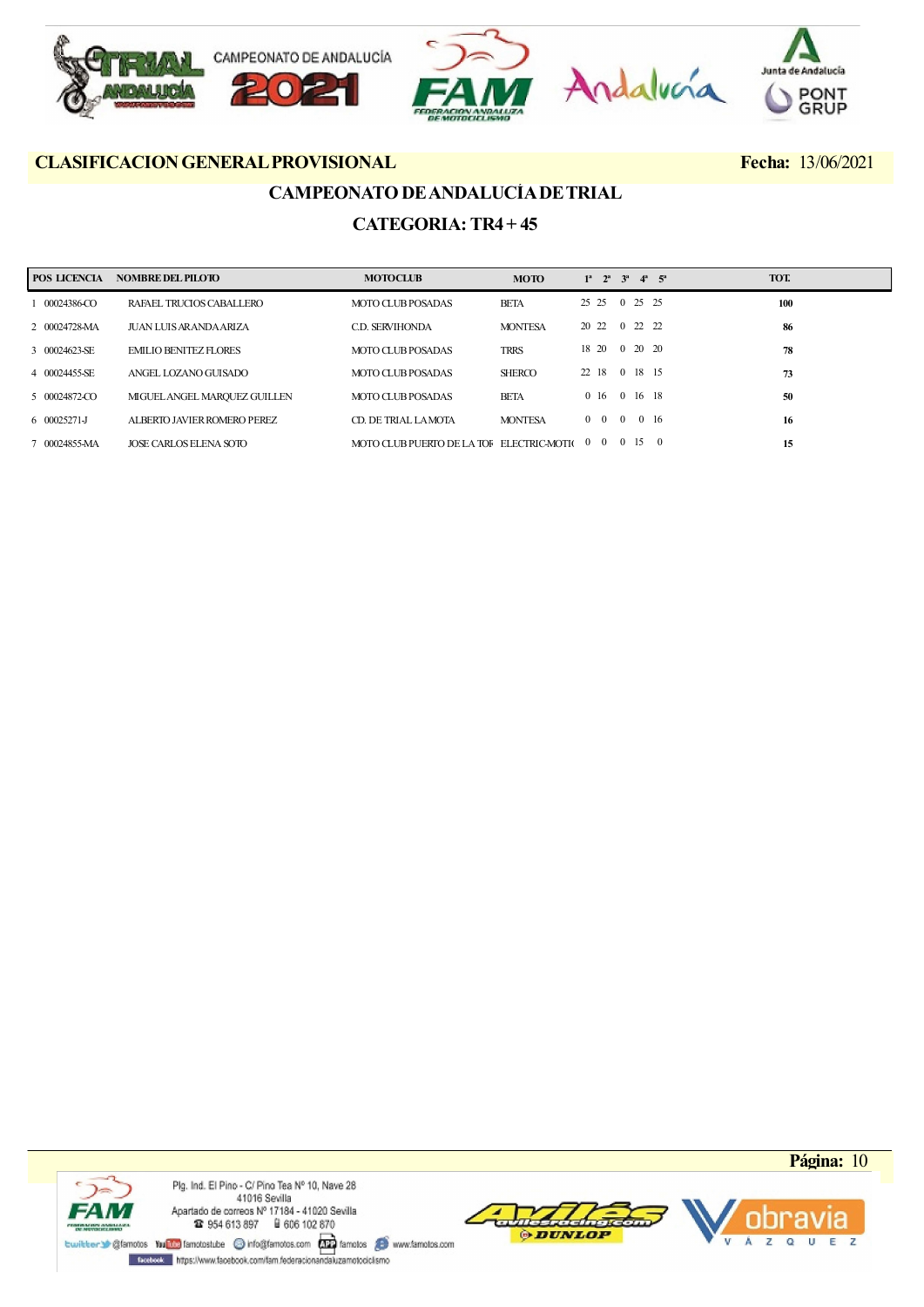

## CAMPEONATO DE ANDALUCÍA DE TRIAL

## CATEGORIA: TR4 + 45

| POS LICENCIA    | <b>NOMBRE DEL PILOTO</b>     | <b>MOTOCLUB</b>                             | <b>MOTO</b>    | $1^a$ $2^a$ $3^a$ $4^a$ $5^a$ |                |                     |                | TOT. |  |
|-----------------|------------------------------|---------------------------------------------|----------------|-------------------------------|----------------|---------------------|----------------|------|--|
| 00024386-CO     | RAFAEL TRUCIOS CABALLERO     | MOTO CLUB POSADAS                           | <b>BETA</b>    | 25 25 0 25 25                 |                |                     |                | 100  |  |
| 2 00024728-MA   | JUAN LUIS AR ANDA ARIZA      | <b>CD. SERVIHONDA</b>                       | <b>MONTESA</b> | 20 22                         |                | $0\quad 22\quad 22$ |                | 86   |  |
| 3 00024623-SE   | <b>EMILIO BENITEZ FLORES</b> | MOTO CLUB POSADAS                           | <b>TRRS</b>    | 18 20 0 20 20                 |                |                     |                | 78   |  |
| 4 00024455-SE   | ANGEL LOZANO GUISADO         | MOTO CLUB POSADAS                           | <b>SHERCO</b>  | 22 18                         |                | 0 18 15             |                | 73   |  |
| 5 00024872-CO   | MIGUEL ANGEL MARQUEZ GUILLEN | MOTO CLUB POSADAS                           | <b>BETA</b>    | 0 16 0 16 18                  |                |                     |                | 50   |  |
| $600025271 - J$ | ALBERTO JAVIER ROMERO PEREZ  | CD. DE TRIAL LAMOTA                         | <b>MONTESA</b> | $0\quad 0$                    | $\overline{0}$ | 0 16                |                | 16   |  |
| 7 00024855-MA   | JOSE CARLOS ELENA SOTO       | MOTO CLUB PUERTO DE LA TOF ELECTRIC-MOTI(00 |                |                               |                | $0\quad15$          | $\overline{0}$ | 15   |  |